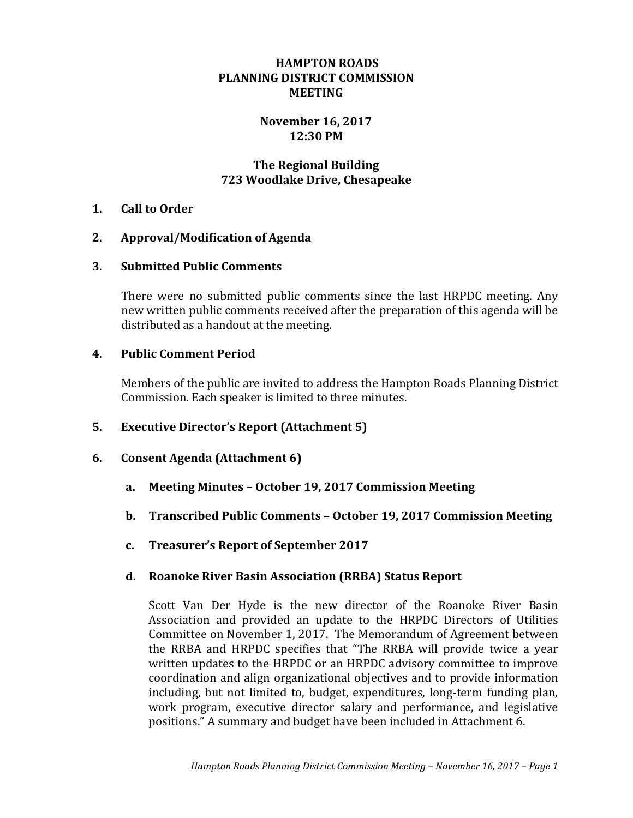## **HAMPTON ROADS PLANNING DISTRICT COMMISSION MEETING**

# **November 16, 2017 12:30 PM**

## **The Regional Building 723 Woodlake Drive, Chesapeake**

## **1. Call to Order**

#### **2. Approval/Modification of Agenda**

#### **3. Submitted Public Comments**

There were no submitted public comments since the last HRPDC meeting. Any new written public comments received after the preparation of this agenda will be distributed as a handout at the meeting.

## **4. Public Comment Period**

Members of the public are invited to address the Hampton Roads Planning District Commission. Each speaker is limited to three minutes.

## **5. Executive Director's Report (Attachment 5)**

## **6. Consent Agenda (Attachment 6)**

- **a. Meeting Minutes – October 19, 2017 Commission Meeting**
- **b. Transcribed Public Comments – October 19, 2017 Commission Meeting**
- **c. Treasurer's Report of September 2017**

## **d. Roanoke River Basin Association (RRBA) Status Report**

Scott Van Der Hyde is the new director of the Roanoke River Basin Association and provided an update to the HRPDC Directors of Utilities Committee on November 1, 2017. The Memorandum of Agreement between the RRBA and HRPDC specifies that "The RRBA will provide twice a year written updates to the HRPDC or an HRPDC advisory committee to improve coordination and align organizational objectives and to provide information including, but not limited to, budget, expenditures, long-term funding plan, work program, executive director salary and performance, and legislative positions." A summary and budget have been included in Attachment 6.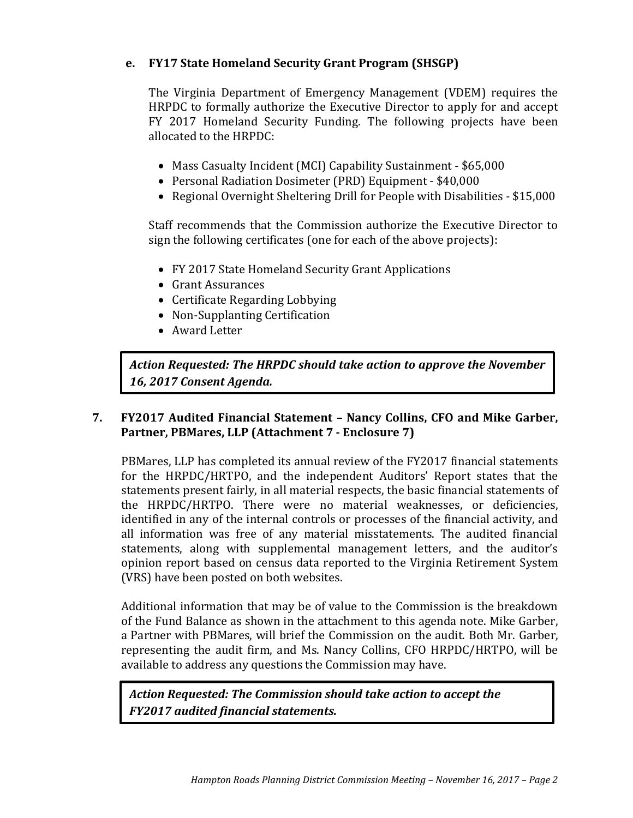# **e. FY17 State Homeland Security Grant Program (SHSGP)**

The Virginia Department of Emergency Management (VDEM) requires the HRPDC to formally authorize the Executive Director to apply for and accept FY 2017 Homeland Security Funding. The following projects have been allocated to the HRPDC:

- Mass Casualty Incident (MCI) Capability Sustainment \$65,000
- Personal Radiation Dosimeter (PRD) Equipment \$40,000
- Regional Overnight Sheltering Drill for People with Disabilities \$15,000

Staff recommends that the Commission authorize the Executive Director to sign the following certificates (one for each of the above projects):

- FY 2017 State Homeland Security Grant Applications
- Grant Assurances
- Certificate Regarding Lobbying
- Non-Supplanting Certification
- Award Letter

*Action Requested: The HRPDC should take action to approve the November 16, 2017 Consent Agenda.*

## **7. FY2017 Audited Financial Statement – Nancy Collins, CFO and Mike Garber, Partner, PBMares, LLP (Attachment 7 - Enclosure 7)**

PBMares, LLP has completed its annual review of the FY2017 financial statements for the HRPDC/HRTPO, and the independent Auditors' Report states that the statements present fairly, in all material respects, the basic financial statements of the HRPDC/HRTPO. There were no material weaknesses, or deficiencies, identified in any of the internal controls or processes of the financial activity, and all information was free of any material misstatements. The audited financial statements, along with supplemental management letters, and the auditor's opinion report based on census data reported to the Virginia Retirement System (VRS) have been posted on both websites.

Additional information that may be of value to the Commission is the breakdown of the Fund Balance as shown in the attachment to this agenda note. Mike Garber, a Partner with PBMares, will brief the Commission on the audit. Both Mr. Garber, representing the audit firm, and Ms. Nancy Collins, CFO HRPDC/HRTPO, will be available to address any questions the Commission may have.

*Action Requested: The Commission should take action to accept the FY2017 audited financial statements.*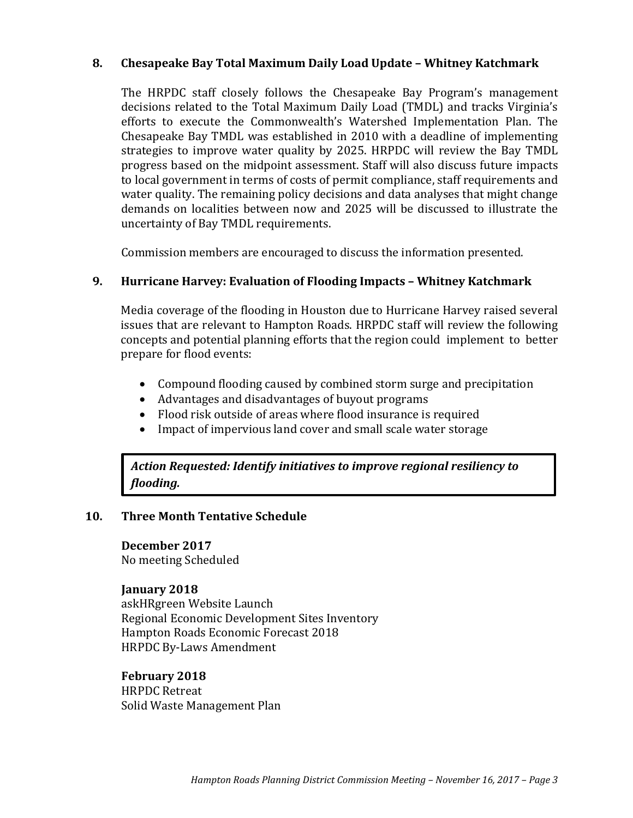## **8. Chesapeake Bay Total Maximum Daily Load Update – Whitney Katchmark**

The HRPDC staff closely follows the Chesapeake Bay Program's management decisions related to the Total Maximum Daily Load (TMDL) and tracks Virginia's efforts to execute the Commonwealth's Watershed Implementation Plan. The Chesapeake Bay TMDL was established in 2010 with a deadline of implementing strategies to improve water quality by 2025. HRPDC will review the Bay TMDL progress based on the midpoint assessment. Staff will also discuss future impacts to local government in terms of costs of permit compliance, staff requirements and water quality. The remaining policy decisions and data analyses that might change demands on localities between now and 2025 will be discussed to illustrate the uncertainty of Bay TMDL requirements.

Commission members are encouraged to discuss the information presented.

## **9. Hurricane Harvey: Evaluation of Flooding Impacts – Whitney Katchmark**

Media coverage of the flooding in Houston due to Hurricane Harvey raised several issues that are relevant to Hampton Roads. HRPDC staff will review the following concepts and potential planning efforts that the region could implement to better prepare for flood events:

- Compound flooding caused by combined storm surge and precipitation
- Advantages and disadvantages of buyout programs
- Flood risk outside of areas where flood insurance is required
- Impact of impervious land cover and small scale water storage

# *Action Requested: Identify initiatives to improve regional resiliency to flooding.*

## **10. Three Month Tentative Schedule**

## **December 2017**

No meeting Scheduled

## **January 2018**

askHRgreen Website Launch Regional Economic Development Sites Inventory Hampton Roads Economic Forecast 2018 HRPDC By-Laws Amendment

#### **February 2018** HRPDC Retreat Solid Waste Management Plan